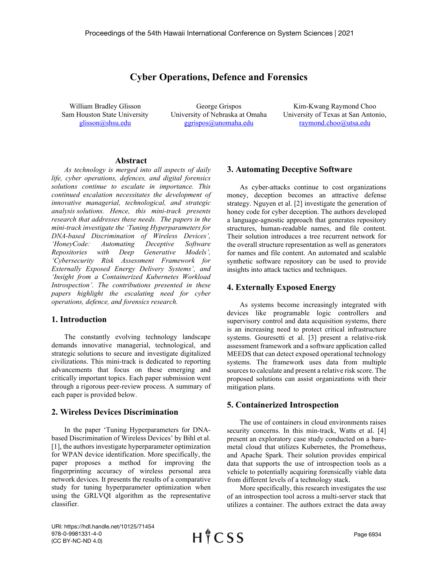# **Cyber Operations, Defence and Forensics**

William Bradley Glisson Sam Houston State University [glisson@shsu.edu](mailto:glisson@shsu.edu)

George Grispos University of Nebraska at Omaha [ggrispos@unomaha.edu](mailto:ggrispos@unomaha.edu)

Kim-Kwang Raymond Choo University of Texas at San Antonio, [raymond.choo@utsa.edu](mailto:raymond.choo@utsa.edu)

## **Abstract**

*As technology is merged into all aspects of daily life, cyber operations, defences, and digital forensics solutions continue to escalate in importance. This continued escalation necessitates the development of innovative managerial, technological, and strategic analysis solutions. Hence, this mini-track presents research that addresses these needs. The papers in the mini-track investigate the 'Tuning Hyperparameters for DNA-based Discrimination of Wireless Devices', 'HoneyCode: Automating Deceptive Software Repositories with Deep Generative Models', 'Cybersecurity Risk Assessment Framework for Externally Exposed Energy Delivery Systems', and 'Insight from a Containerized Kubernetes Workload Introspection'. The contributions presented in these papers highlight the escalating need for cyber operations, defence, and forensics research.*

## **1. Introduction**

The constantly evolving technology landscape demands innovative managerial, technological, and strategic solutions to secure and investigate digitalized civilizations. This mini-track is dedicated to reporting advancements that focus on these emerging and critically important topics. Each paper submission went through a rigorous peer-review process. A summary of each paper is provided below.

#### **2. Wireless Devices Discrimination**

In the paper 'Tuning Hyperparameters for DNAbased Discrimination of Wireless Devices' by Bihl et al. [1], the authors investigate hyperparameter optimization for WPAN device identification. More specifically, the paper proposes a method for improving the fingerprinting accuracy of wireless personal area network devices. It presents the results of a comparative study for tuning hyperparameter optimization when using the GRLVQI algorithm as the representative classifier.

## **3. Automating Deceptive Software**

As cyber-attacks continue to cost organizations money, deception becomes an attractive defense strategy. Nguyen et al. [2] investigate the generation of honey code for cyber deception. The authors developed a language-agnostic approach that generates repository structures, human-readable names, and file content. Their solution introduces a tree recurrent network for the overall structure representation as well as generators for names and file content. An automated and scalable synthetic software repository can be used to provide insights into attack tactics and techniques.

### **4. Externally Exposed Energy**

As systems become increasingly integrated with devices like programable logic controllers and supervisory control and data acquisition systems, there is an increasing need to protect critical infrastructure systems. Gouresetti et al. [3] present a relative-risk assessment framework and a software application called MEEDS that can detect exposed operational technology systems. The framework uses data from multiple sources to calculate and present a relative risk score. The proposed solutions can assist organizations with their mitigation plans.

## **5. Containerized Introspection**

The use of containers in cloud environments raises security concerns. In this min-track, Watts et al. [4] present an exploratory case study conducted on a baremetal cloud that utilizes Kubernetes, the Prometheus, and Apache Spark. Their solution provides empirical data that supports the use of introspection tools as a vehicle to potentially acquiring forensically viable data from different levels of a technology stack.

More specifically, this research investigates the use of an introspection tool across a multi-server stack that utilizes a container. The authors extract the data away

URI: https://hdl.handle.net/10125/71454 978-0-9981331-4-0 (CC BY-NC-ND 4.0)